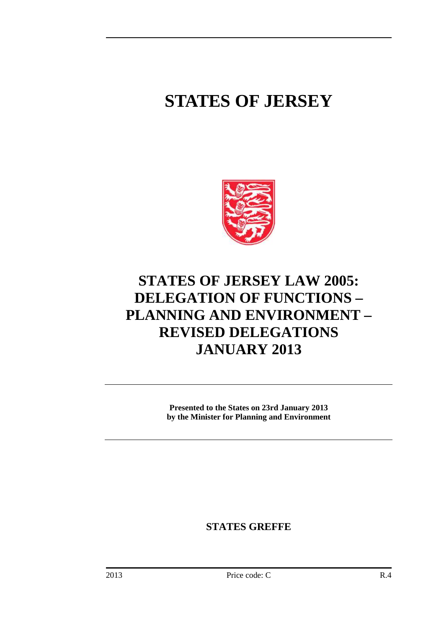# **STATES OF JERSEY**



## **STATES OF JERSEY LAW 2005: DELEGATION OF FUNCTIONS – PLANNING AND ENVIRONMENT – REVISED DELEGATIONS JANUARY 2013**

**Presented to the States on 23rd January 2013 by the Minister for Planning and Environment** 

**STATES GREFFE**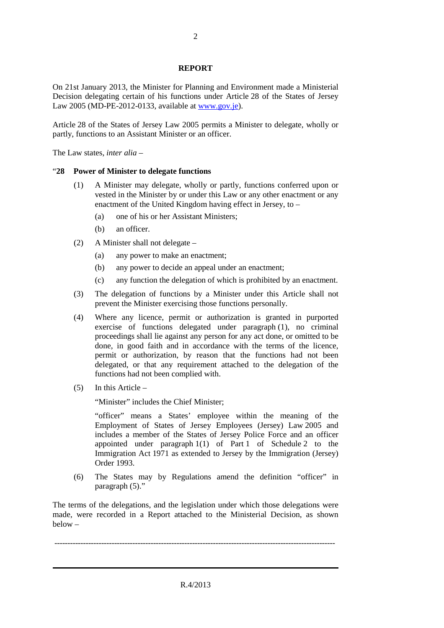#### **REPORT**

On 21st January 2013, the Minister for Planning and Environment made a Ministerial Decision delegating certain of his functions under Article 28 of the States of Jersey Law 2005 (MD-PE-2012-0133, available at www.gov.je).

Article 28 of the States of Jersey Law 2005 permits a Minister to delegate, wholly or partly, functions to an Assistant Minister or an officer.

The Law states, *inter alia* –

#### "**28 Power of Minister to delegate functions**

- (1) A Minister may delegate, wholly or partly, functions conferred upon or vested in the Minister by or under this Law or any other enactment or any enactment of the United Kingdom having effect in Jersey, to –
	- (a) one of his or her Assistant Ministers;
	- (b) an officer.
- (2) A Minister shall not delegate
	- (a) any power to make an enactment;
	- (b) any power to decide an appeal under an enactment;
	- (c) any function the delegation of which is prohibited by an enactment.
- (3) The delegation of functions by a Minister under this Article shall not prevent the Minister exercising those functions personally.
- (4) Where any licence, permit or authorization is granted in purported exercise of functions delegated under paragraph (1), no criminal proceedings shall lie against any person for any act done, or omitted to be done, in good faith and in accordance with the terms of the licence, permit or authorization, by reason that the functions had not been delegated, or that any requirement attached to the delegation of the functions had not been complied with.
- (5) In this Article –

"Minister" includes the Chief Minister;

"officer" means a States' employee within the meaning of the Employment of States of Jersey Employees (Jersey) Law 2005 and includes a member of the States of Jersey Police Force and an officer appointed under paragraph 1(1) of Part 1 of Schedule 2 to the Immigration Act 1971 as extended to Jersey by the Immigration (Jersey) Order 1993.

(6) The States may by Regulations amend the definition "officer" in paragraph (5)."

The terms of the delegations, and the legislation under which those delegations were made, were recorded in a Report attached to the Ministerial Decision, as shown below –

------------------------------------------------------------------------------------------------------------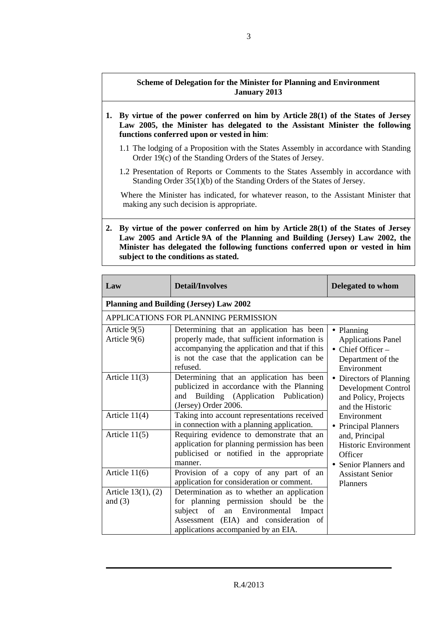### **Scheme of Delegation for the Minister for Planning and Environment January 2013**

- **1. By virtue of the power conferred on him by Article 28(1) of the States of Jersey Law 2005, the Minister has delegated to the Assistant Minister the following functions conferred upon or vested in him**:
	- 1.1 The lodging of a Proposition with the States Assembly in accordance with Standing Order 19(c) of the Standing Orders of the States of Jersey.
	- 1.2 Presentation of Reports or Comments to the States Assembly in accordance with Standing Order 35(1)(b) of the Standing Orders of the States of Jersey.

Where the Minister has indicated, for whatever reason, to the Assistant Minister that making any such decision is appropriate.

**2. By virtue of the power conferred on him by Article 28(1) of the States of Jersey Law 2005 and Article 9A of the Planning and Building (Jersey) Law 2002, the Minister has delegated the following functions conferred upon or vested in him subject to the conditions as stated.** 

| Law                                  | <b>Detail/Involves</b>                                                                                                                                                                                       | <b>Delegated to whom</b>                                                                                          |
|--------------------------------------|--------------------------------------------------------------------------------------------------------------------------------------------------------------------------------------------------------------|-------------------------------------------------------------------------------------------------------------------|
|                                      | <b>Planning and Building (Jersey) Law 2002</b>                                                                                                                                                               |                                                                                                                   |
|                                      | APPLICATIONS FOR PLANNING PERMISSION                                                                                                                                                                         |                                                                                                                   |
| Article 9(5)<br>Article 9(6)         | Determining that an application has been<br>properly made, that sufficient information is<br>accompanying the application and that if this<br>is not the case that the application can be<br>refused.        | • Planning<br><b>Applications Panel</b><br>$\bullet$ Chief Officer –<br>Department of the<br>Environment          |
| Article $11(3)$                      | Determining that an application has been<br>publicized in accordance with the Planning<br>and Building (Application Publication)<br>(Jersey) Order 2006.                                                     | Directors of Planning<br>Development Control<br>and Policy, Projects<br>and the Historic                          |
| Article 11(4)                        | Taking into account representations received<br>in connection with a planning application.                                                                                                                   | Environment<br><b>Principal Planners</b>                                                                          |
| Article $11(5)$                      | Requiring evidence to demonstrate that an<br>application for planning permission has been<br>publicised or notified in the appropriate<br>manner.                                                            | and, Principal<br>Historic Environment<br>Officer<br>• Senior Planners and<br><b>Assistant Senior</b><br>Planners |
| Article $11(6)$                      | Provision of a copy of any part of an<br>application for consideration or comment.                                                                                                                           |                                                                                                                   |
| Article $13(1)$ , $(2)$<br>and $(3)$ | Determination as to whether an application<br>for planning permission should be the<br>subject of an Environmental<br>Impact<br>Assessment (EIA) and consideration of<br>applications accompanied by an EIA. |                                                                                                                   |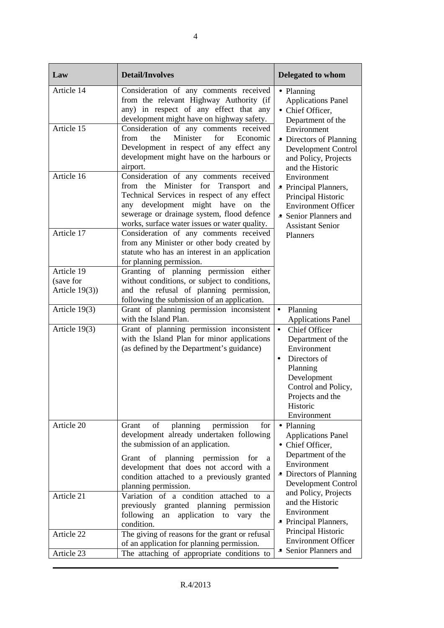| Law               | <b>Detail/Involves</b>                                                                                                                                                                                                                                                                                | <b>Delegated to whom</b>                                                                                                                                                                     |
|-------------------|-------------------------------------------------------------------------------------------------------------------------------------------------------------------------------------------------------------------------------------------------------------------------------------------------------|----------------------------------------------------------------------------------------------------------------------------------------------------------------------------------------------|
| Article 14        | Consideration of any comments received<br>from the relevant Highway Authority (if<br>any) in respect of any effect that any<br>development might have on highway safety.                                                                                                                              | • Planning<br><b>Applications Panel</b><br>• Chief Officer,<br>Department of the                                                                                                             |
| Article 15        | Consideration of any comments received<br>Minister<br>from<br>the<br>for<br>Economic<br>Development in respect of any effect any<br>development might have on the harbours or<br>airport.                                                                                                             | Environment<br>• Directors of Planning<br><b>Development Control</b><br>and Policy, Projects<br>and the Historic                                                                             |
| Article 16        | Consideration of any comments received<br>from the Minister for Transport<br>and<br>Technical Services in respect of any effect<br>development might have<br>any<br>on<br>the<br>sewerage or drainage system, flood defence<br>works, surface water issues or water quality.                          | Environment<br>• Principal Planners,<br>Principal Historic<br><b>Environment Officer</b><br>• Senior Planners and<br><b>Assistant Senior</b>                                                 |
| Article 17        | Consideration of any comments received<br>from any Minister or other body created by<br>statute who has an interest in an application<br>for planning permission.                                                                                                                                     | Planners                                                                                                                                                                                     |
| Article 19        | Granting of planning permission either                                                                                                                                                                                                                                                                |                                                                                                                                                                                              |
| (save for         | without conditions, or subject to conditions,                                                                                                                                                                                                                                                         |                                                                                                                                                                                              |
| Article $19(3)$ ) | and the refusal of planning permission,<br>following the submission of an application.                                                                                                                                                                                                                |                                                                                                                                                                                              |
| Article 19(3)     | Grant of planning permission inconsistent<br>with the Island Plan.                                                                                                                                                                                                                                    | Planning<br>$\bullet$<br><b>Applications Panel</b>                                                                                                                                           |
| Article 19(3)     | Grant of planning permission inconsistent<br>with the Island Plan for minor applications<br>(as defined by the Department's guidance)                                                                                                                                                                 | $\bullet$<br>Chief Officer<br>Department of the<br>Environment<br>Directors of<br>$\bullet$<br>Planning<br>Development<br>Control and Policy,<br>Projects and the<br>Historic<br>Environment |
| Article 20        | planning<br>permission<br>Grant<br>of<br>for<br>development already undertaken following<br>the submission of an application.<br>Grant of planning permission<br>for<br><sub>a</sub><br>development that does not accord with a<br>condition attached to a previously granted<br>planning permission. | • Planning<br><b>Applications Panel</b><br>• Chief Officer,<br>Department of the<br>Environment<br>• Directors of Planning<br><b>Development Control</b>                                     |
| Article 21        | Variation of a condition<br>attached to a<br>previously<br>granted planning<br>permission<br>application to<br>following<br>vary the<br>an<br>condition.                                                                                                                                              | and Policy, Projects<br>and the Historic<br>Environment<br>• Principal Planners,                                                                                                             |
| Article 22        | The giving of reasons for the grant or refusal<br>of an application for planning permission.                                                                                                                                                                                                          | Principal Historic<br><b>Environment Officer</b>                                                                                                                                             |
| Article 23        | The attaching of appropriate conditions to                                                                                                                                                                                                                                                            | • Senior Planners and                                                                                                                                                                        |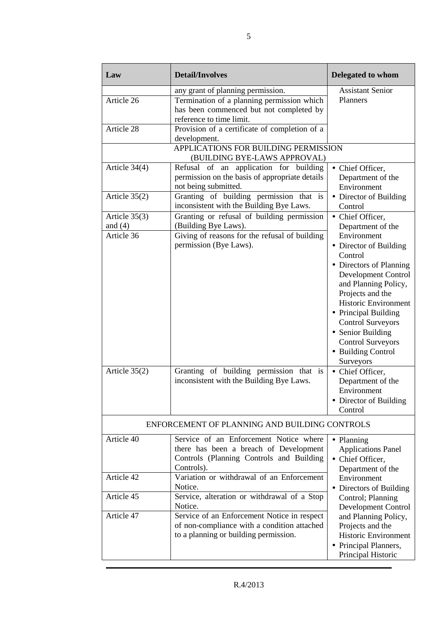| Law                                                           | <b>Detail/Involves</b>                                                                                                                                                                                                               | Delegated to whom                                                                                                                                                                                                                                                                                                                                                                                                                                           |
|---------------------------------------------------------------|--------------------------------------------------------------------------------------------------------------------------------------------------------------------------------------------------------------------------------------|-------------------------------------------------------------------------------------------------------------------------------------------------------------------------------------------------------------------------------------------------------------------------------------------------------------------------------------------------------------------------------------------------------------------------------------------------------------|
| Article 26<br>Article 28                                      | any grant of planning permission.<br>Termination of a planning permission which<br>has been commenced but not completed by<br>reference to time limit.<br>Provision of a certificate of completion of a<br>development.              | <b>Assistant Senior</b><br>Planners                                                                                                                                                                                                                                                                                                                                                                                                                         |
|                                                               | APPLICATIONS FOR BUILDING PERMISSION<br>(BUILDING BYE-LAWS APPROVAL)                                                                                                                                                                 |                                                                                                                                                                                                                                                                                                                                                                                                                                                             |
| Article 34(4)                                                 | Refusal of an application for building<br>permission on the basis of appropriate details<br>not being submitted.                                                                                                                     | • Chief Officer,<br>Department of the<br>Environment                                                                                                                                                                                                                                                                                                                                                                                                        |
| Article $35(2)$                                               | Granting of building permission that is<br>inconsistent with the Building Bye Laws.                                                                                                                                                  | • Director of Building<br>Control                                                                                                                                                                                                                                                                                                                                                                                                                           |
| Article $35(3)$<br>and $(4)$<br>Article 36<br>Article $35(2)$ | Granting or refusal of building permission<br>(Building Bye Laws).<br>Giving of reasons for the refusal of building<br>permission (Bye Laws).<br>Granting of building permission that is<br>inconsistent with the Building Bye Laws. | • Chief Officer,<br>Department of the<br>Environment<br>• Director of Building<br>Control<br>• Directors of Planning<br>Development Control<br>and Planning Policy,<br>Projects and the<br><b>Historic Environment</b><br>• Principal Building<br><b>Control Surveyors</b><br>• Senior Building<br><b>Control Surveyors</b><br>• Building Control<br>Surveyors<br>• Chief Officer,<br>Department of the<br>Environment<br>• Director of Building<br>Control |
|                                                               | ENFORCEMENT OF PLANNING AND BUILDING CONTROLS                                                                                                                                                                                        |                                                                                                                                                                                                                                                                                                                                                                                                                                                             |
| Article 40                                                    | Service of an Enforcement Notice where<br>there has been a breach of Development<br>Controls (Planning Controls and Building<br>Controls).                                                                                           | • Planning<br><b>Applications Panel</b><br>• Chief Officer,<br>Department of the                                                                                                                                                                                                                                                                                                                                                                            |
| Article 42                                                    | Variation or withdrawal of an Enforcement<br>Notice.                                                                                                                                                                                 | Environment<br>• Directors of Building                                                                                                                                                                                                                                                                                                                                                                                                                      |
| Article 45<br>Article 47                                      | Service, alteration or withdrawal of a Stop<br>Notice.<br>Service of an Enforcement Notice in respect                                                                                                                                | Control; Planning<br>Development Control<br>and Planning Policy,                                                                                                                                                                                                                                                                                                                                                                                            |
|                                                               | of non-compliance with a condition attached<br>to a planning or building permission.                                                                                                                                                 | Projects and the<br>Historic Environment<br>• Principal Planners,<br>Principal Historic                                                                                                                                                                                                                                                                                                                                                                     |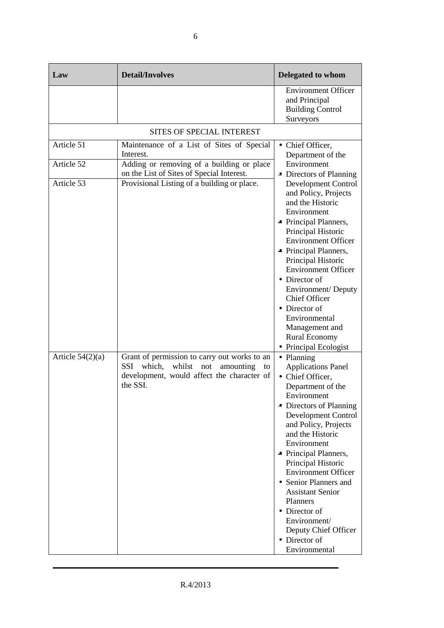| Law                                    | <b>Detail/Involves</b>                                                                                                                                                                          | <b>Delegated to whom</b>                                                                                                                                                                                                                                                                                                                                                                                                                                    |
|----------------------------------------|-------------------------------------------------------------------------------------------------------------------------------------------------------------------------------------------------|-------------------------------------------------------------------------------------------------------------------------------------------------------------------------------------------------------------------------------------------------------------------------------------------------------------------------------------------------------------------------------------------------------------------------------------------------------------|
|                                        |                                                                                                                                                                                                 | <b>Environment Officer</b><br>and Principal<br><b>Building Control</b><br>Surveyors                                                                                                                                                                                                                                                                                                                                                                         |
|                                        | SITES OF SPECIAL INTEREST                                                                                                                                                                       |                                                                                                                                                                                                                                                                                                                                                                                                                                                             |
| Article 51<br>Article 52<br>Article 53 | Maintenance of a List of Sites of Special<br>Interest.<br>Adding or removing of a building or place<br>on the List of Sites of Special Interest.<br>Provisional Listing of a building or place. | • Chief Officer,<br>Department of the<br>Environment<br>• Directors of Planning<br><b>Development Control</b><br>and Policy, Projects<br>and the Historic<br>Environment<br>• Principal Planners,<br>Principal Historic<br><b>Environment Officer</b><br>• Principal Planners,<br>Principal Historic<br><b>Environment Officer</b><br>• Director of<br>Environment/Deputy<br><b>Chief Officer</b><br>• Director of<br>Environmental<br>Management and       |
|                                        |                                                                                                                                                                                                 | <b>Rural Economy</b><br>• Principal Ecologist                                                                                                                                                                                                                                                                                                                                                                                                               |
| Article $54(2)(a)$                     | Grant of permission to carry out works to an<br>which,<br>whilst<br><b>SSI</b><br>not<br>amounting<br>to<br>development, would affect the character of<br>the SSI.                              | • Planning<br><b>Applications Panel</b><br>• Chief Officer,<br>Department of the<br>Environment<br>• Directors of Planning<br><b>Development Control</b><br>and Policy, Projects<br>and the Historic<br>Environment<br>• Principal Planners,<br>Principal Historic<br><b>Environment Officer</b><br>• Senior Planners and<br><b>Assistant Senior</b><br>Planners<br>• Director of<br>Environment/<br>Deputy Chief Officer<br>• Director of<br>Environmental |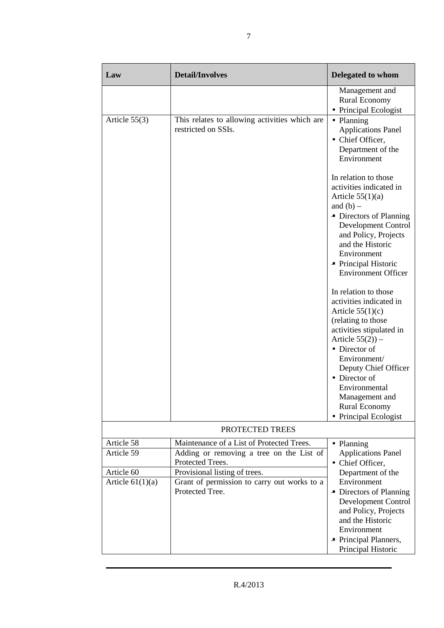| Law                | <b>Detail/Involves</b>                                               | <b>Delegated to whom</b>                                                                                                 |
|--------------------|----------------------------------------------------------------------|--------------------------------------------------------------------------------------------------------------------------|
|                    |                                                                      | Management and<br>Rural Economy<br>• Principal Ecologist                                                                 |
| Article 55(3)      | This relates to allowing activities which are<br>restricted on SSIs. | • Planning<br><b>Applications Panel</b><br>• Chief Officer,<br>Department of the<br>Environment                          |
|                    |                                                                      | In relation to those<br>activities indicated in<br>Article $55(1)(a)$<br>and $(b)$ –                                     |
|                    |                                                                      | • Directors of Planning<br>Development Control<br>and Policy, Projects<br>and the Historic<br>Environment                |
|                    |                                                                      | • Principal Historic<br><b>Environment Officer</b>                                                                       |
|                    |                                                                      | In relation to those<br>activities indicated in<br>Article $55(1)(c)$                                                    |
|                    |                                                                      | (relating to those<br>activities stipulated in<br>Article $55(2)$ ) –                                                    |
|                    |                                                                      | • Director of<br>Environment/<br>Deputy Chief Officer                                                                    |
|                    |                                                                      | • Director of<br>Environmental<br>Management and                                                                         |
|                    |                                                                      | <b>Rural Economy</b><br>• Principal Ecologist                                                                            |
|                    | PROTECTED TREES                                                      |                                                                                                                          |
| Article 58         | Maintenance of a List of Protected Trees.                            | • Planning                                                                                                               |
| Article 59         | Adding or removing a tree on the List of<br>Protected Trees.         | <b>Applications Panel</b><br>• Chief Officer,                                                                            |
| Article 60         | Provisional listing of trees.                                        | Department of the                                                                                                        |
| Article $61(1)(a)$ | Grant of permission to carry out works to a<br>Protected Tree.       | Environment<br>• Directors of Planning<br>Development Control<br>and Policy, Projects<br>and the Historic<br>Environment |
|                    |                                                                      | • Principal Planners,<br>Principal Historic                                                                              |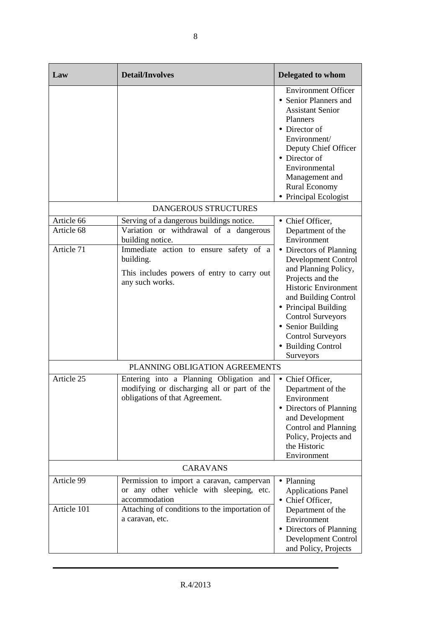| Law                       | <b>Detail/Involves</b>                                                                                                                                  | <b>Delegated to whom</b>                                                                                                                                                                                                                                                                  |
|---------------------------|---------------------------------------------------------------------------------------------------------------------------------------------------------|-------------------------------------------------------------------------------------------------------------------------------------------------------------------------------------------------------------------------------------------------------------------------------------------|
|                           |                                                                                                                                                         | <b>Environment Officer</b><br>• Senior Planners and<br><b>Assistant Senior</b><br><b>Planners</b><br>• Director of<br>Environment/<br>Deputy Chief Officer<br>• Director of<br>Environmental<br>Management and<br><b>Rural Economy</b><br>• Principal Ecologist                           |
|                           | <b>DANGEROUS STRUCTURES</b>                                                                                                                             |                                                                                                                                                                                                                                                                                           |
| Article 66<br>Article 68  | Serving of a dangerous buildings notice.<br>Variation or withdrawal of a dangerous<br>building notice.                                                  | • Chief Officer,<br>Department of the<br>Environment                                                                                                                                                                                                                                      |
| Article 71                | Immediate action to ensure safety of a<br>building.<br>This includes powers of entry to carry out<br>any such works.                                    | • Directors of Planning<br><b>Development Control</b><br>and Planning Policy,<br>Projects and the<br>Historic Environment<br>and Building Control<br>• Principal Building<br><b>Control Surveyors</b><br>• Senior Building<br><b>Control Surveyors</b><br>• Building Control<br>Surveyors |
|                           | PLANNING OBLIGATION AGREEMENTS                                                                                                                          |                                                                                                                                                                                                                                                                                           |
| Article 25                | Entering into a Planning Obligation and<br>modifying or discharging all or part of the<br>obligations of that Agreement.                                | • Chief Officer,<br>Department of the<br>Environment<br>• Directors of Planning<br>and Development<br>Control and Planning<br>Policy, Projects and<br>the Historic<br>Environment                                                                                                         |
| <b>CARAVANS</b>           |                                                                                                                                                         |                                                                                                                                                                                                                                                                                           |
| Article 99<br>Article 101 | Permission to import a caravan, campervan<br>or any other vehicle with sleeping, etc.<br>accommodation<br>Attaching of conditions to the importation of | • Planning<br><b>Applications Panel</b><br>• Chief Officer,                                                                                                                                                                                                                               |
|                           | a caravan, etc.                                                                                                                                         | Department of the<br>Environment<br>• Directors of Planning<br>Development Control<br>and Policy, Projects                                                                                                                                                                                |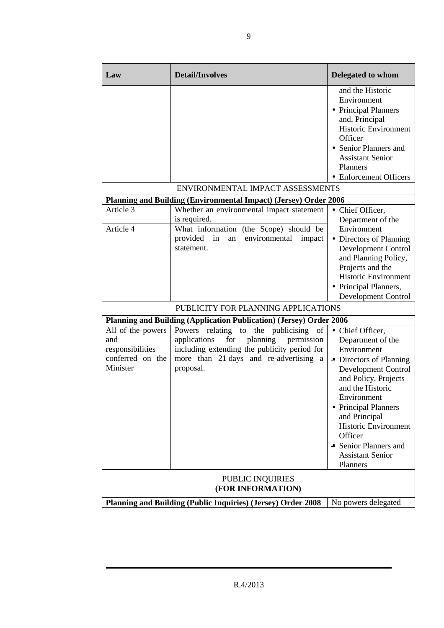| Law                                                                                 | <b>Detail/Involves</b>                                                                                                                                                                        | <b>Delegated to whom</b>                                                                                                                                                                                                                                                                                             |
|-------------------------------------------------------------------------------------|-----------------------------------------------------------------------------------------------------------------------------------------------------------------------------------------------|----------------------------------------------------------------------------------------------------------------------------------------------------------------------------------------------------------------------------------------------------------------------------------------------------------------------|
|                                                                                     |                                                                                                                                                                                               | and the Historic<br>Environment<br>• Principal Planners<br>and, Principal<br>Historic Environment<br>Officer<br>• Senior Planners and<br><b>Assistant Senior</b><br>Planners<br>• Enforcement Officers                                                                                                               |
|                                                                                     | ENVIRONMENTAL IMPACT ASSESSMENTS                                                                                                                                                              |                                                                                                                                                                                                                                                                                                                      |
|                                                                                     | <b>Planning and Building (Environmental Impact) (Jersey) Order 2006</b>                                                                                                                       |                                                                                                                                                                                                                                                                                                                      |
| Article 3<br>Article 4                                                              | Whether an environmental impact statement<br>is required.<br>What information (the Scope) should be                                                                                           | • Chief Officer,<br>Department of the<br>Environment                                                                                                                                                                                                                                                                 |
|                                                                                     | provided in<br>environmental<br>impact<br>an<br>statement.                                                                                                                                    | • Directors of Planning<br>Development Control<br>and Planning Policy,<br>Projects and the<br><b>Historic Environment</b><br>• Principal Planners,<br>Development Control                                                                                                                                            |
|                                                                                     | PUBLICITY FOR PLANNING APPLICATIONS                                                                                                                                                           |                                                                                                                                                                                                                                                                                                                      |
|                                                                                     | <b>Planning and Building (Application Publication) (Jersey) Order 2006</b>                                                                                                                    |                                                                                                                                                                                                                                                                                                                      |
| All of the powers<br>and<br>responsibilities<br>conferred on the<br>Minister        | Powers relating to the publicising of<br>planning<br>applications<br>for<br>permission<br>including extending the publicity period for<br>more than 21 days and re-advertising a<br>proposal. | • Chief Officer,<br>Department of the<br>Environment<br>• Directors of Planning<br>Development Control<br>and Policy, Projects<br>and the Historic<br>Environment<br>• Principal Planners<br>and Principal<br><b>Historic Environment</b><br>Officer<br>• Senior Planners and<br><b>Assistant Senior</b><br>Planners |
| PUBLIC INQUIRIES<br>(FOR INFORMATION)                                               |                                                                                                                                                                                               |                                                                                                                                                                                                                                                                                                                      |
| Planning and Building (Public Inquiries) (Jersey) Order 2008<br>No powers delegated |                                                                                                                                                                                               |                                                                                                                                                                                                                                                                                                                      |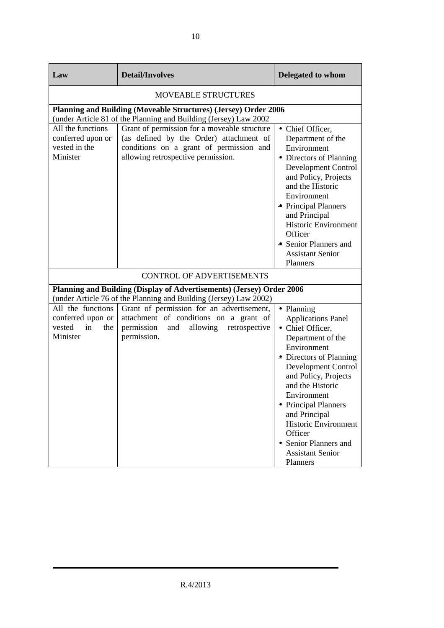| Law                                                                       | <b>Detail/Involves</b>                                                                                                                                                   | Delegated to whom                                                                                                                                                                                                                                                                                                                                               |
|---------------------------------------------------------------------------|--------------------------------------------------------------------------------------------------------------------------------------------------------------------------|-----------------------------------------------------------------------------------------------------------------------------------------------------------------------------------------------------------------------------------------------------------------------------------------------------------------------------------------------------------------|
| <b>MOVEABLE STRUCTURES</b>                                                |                                                                                                                                                                          |                                                                                                                                                                                                                                                                                                                                                                 |
|                                                                           | Planning and Building (Moveable Structures) (Jersey) Order 2006<br>(under Article 81 of the Planning and Building (Jersey) Law 2002                                      |                                                                                                                                                                                                                                                                                                                                                                 |
| All the functions<br>conferred upon or<br>vested in the<br>Minister       | Grant of permission for a moveable structure<br>(as defined by the Order) attachment of<br>conditions on a grant of permission and<br>allowing retrospective permission. | • Chief Officer,<br>Department of the<br>Environment<br>• Directors of Planning<br>Development Control<br>and Policy, Projects<br>and the Historic<br>Environment<br>• Principal Planners<br>and Principal<br><b>Historic Environment</b><br>Officer<br>• Senior Planners and<br><b>Assistant Senior</b><br>Planners                                            |
|                                                                           | <b>CONTROL OF ADVERTISEMENTS</b>                                                                                                                                         |                                                                                                                                                                                                                                                                                                                                                                 |
|                                                                           | Planning and Building (Display of Advertisements) (Jersey) Order 2006<br>(under Article 76 of the Planning and Building (Jersey) Law 2002)                               |                                                                                                                                                                                                                                                                                                                                                                 |
| All the functions<br>conferred upon or<br>vested<br>in<br>the<br>Minister | Grant of permission for an advertisement,<br>attachment of conditions on a grant of<br>permission and<br>allowing<br>retrospective<br>permission.                        | • Planning<br><b>Applications Panel</b><br>• Chief Officer,<br>Department of the<br>Environment<br>• Directors of Planning<br>Development Control<br>and Policy, Projects<br>and the Historic<br>Environment<br>• Principal Planners<br>and Principal<br><b>Historic Environment</b><br>Officer<br>• Senior Planners and<br><b>Assistant Senior</b><br>Planners |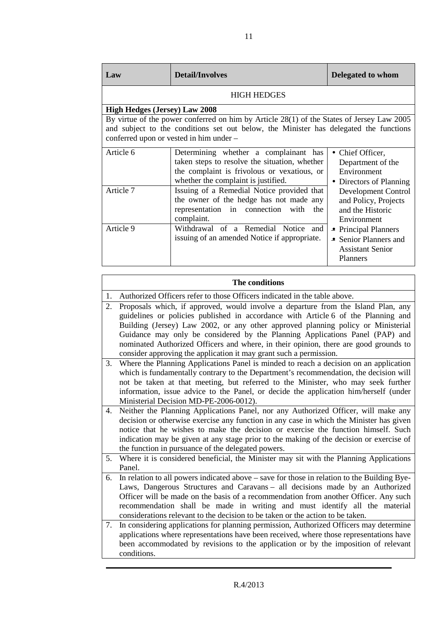| Law                                                                                                                                                                                                                           | <b>Detail/Involves</b>                                                                                                                                                       | Delegated to whom                                                                    |
|-------------------------------------------------------------------------------------------------------------------------------------------------------------------------------------------------------------------------------|------------------------------------------------------------------------------------------------------------------------------------------------------------------------------|--------------------------------------------------------------------------------------|
|                                                                                                                                                                                                                               | <b>HIGH HEDGES</b>                                                                                                                                                           |                                                                                      |
| <b>High Hedges (Jersey) Law 2008</b>                                                                                                                                                                                          |                                                                                                                                                                              |                                                                                      |
| By virtue of the power conferred on him by Article 28(1) of the States of Jersey Law 2005<br>and subject to the conditions set out below, the Minister has delegated the functions<br>conferred upon or vested in him under - |                                                                                                                                                                              |                                                                                      |
| Article 6                                                                                                                                                                                                                     | Determining whether a complainant has<br>taken steps to resolve the situation, whether<br>the complaint is frivolous or vexatious, or<br>whether the complaint is justified. | • Chief Officer,<br>Department of the<br>Environment<br>Directors of Planning        |
| Article 7                                                                                                                                                                                                                     | Issuing of a Remedial Notice provided that<br>the owner of the hedge has not made any<br>representation in connection<br>with<br>the<br>complaint.                           | Development Control<br>and Policy, Projects<br>and the Historic<br>Environment       |
| Article 9                                                                                                                                                                                                                     | Withdrawal of a Remedial Notice and<br>issuing of an amended Notice if appropriate.                                                                                          | • Principal Planners<br>• Senior Planners and<br><b>Assistant Senior</b><br>Planners |

|    | The conditions                                                                                                                                                                                                                                                                                                                                                                                                                                                                                           |  |  |
|----|----------------------------------------------------------------------------------------------------------------------------------------------------------------------------------------------------------------------------------------------------------------------------------------------------------------------------------------------------------------------------------------------------------------------------------------------------------------------------------------------------------|--|--|
| 1. | Authorized Officers refer to those Officers indicated in the table above.                                                                                                                                                                                                                                                                                                                                                                                                                                |  |  |
| 2. | Proposals which, if approved, would involve a departure from the Island Plan, any<br>guidelines or policies published in accordance with Article 6 of the Planning and<br>Building (Jersey) Law 2002, or any other approved planning policy or Ministerial<br>Guidance may only be considered by the Planning Applications Panel (PAP) and<br>nominated Authorized Officers and where, in their opinion, there are good grounds to<br>consider approving the application it may grant such a permission. |  |  |
| 3. | Where the Planning Applications Panel is minded to reach a decision on an application<br>which is fundamentally contrary to the Department's recommendation, the decision will<br>not be taken at that meeting, but referred to the Minister, who may seek further<br>information, issue advice to the Panel, or decide the application him/herself (under<br>Ministerial Decision MD-PE-2006-0012).                                                                                                     |  |  |
| 4. | Neither the Planning Applications Panel, nor any Authorized Officer, will make any<br>decision or otherwise exercise any function in any case in which the Minister has given<br>notice that he wishes to make the decision or exercise the function himself. Such<br>indication may be given at any stage prior to the making of the decision or exercise of<br>the function in pursuance of the delegated powers.                                                                                      |  |  |
| 5. | Where it is considered beneficial, the Minister may sit with the Planning Applications<br>Panel.                                                                                                                                                                                                                                                                                                                                                                                                         |  |  |
| 6. | In relation to all powers indicated above – save for those in relation to the Building Bye-<br>Laws, Dangerous Structures and Caravans – all decisions made by an Authorized<br>Officer will be made on the basis of a recommendation from another Officer. Any such<br>recommendation shall be made in writing and must identify all the material<br>considerations relevant to the decision to be taken or the action to be taken.                                                                     |  |  |
| 7. | In considering applications for planning permission, Authorized Officers may determine<br>applications where representations have been received, where those representations have<br>been accommodated by revisions to the application or by the imposition of relevant<br>conditions.                                                                                                                                                                                                                   |  |  |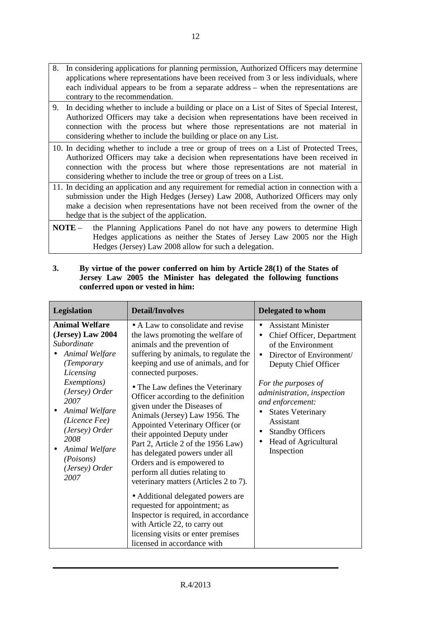- 8. In considering applications for planning permission, Authorized Officers may determine applications where representations have been received from 3 or less individuals, where each individual appears to be from a separate address – when the representations are contrary to the recommendation.
- 9. In deciding whether to include a building or place on a List of Sites of Special Interest, Authorized Officers may take a decision when representations have been received in connection with the process but where those representations are not material in considering whether to include the building or place on any List.
- 10. In deciding whether to include a tree or group of trees on a List of Protected Trees, Authorized Officers may take a decision when representations have been received in connection with the process but where those representations are not material in considering whether to include the tree or group of trees on a List.
- 11. In deciding an application and any requirement for remedial action in connection with a submission under the High Hedges (Jersey) Law 2008, Authorized Officers may only make a decision when representations have not been received from the owner of the hedge that is the subject of the application.
- **NOTE** the Planning Applications Panel do not have any powers to determine High Hedges applications as neither the States of Jersey Law 2005 nor the High Hedges (Jersey) Law 2008 allow for such a delegation.

| Legislation                                                                                                                                                              | <b>Detail/Involves</b>                                                                                                                                                                                                                                                                                                                                                                        | <b>Delegated to whom</b>                                                                                                                                                        |
|--------------------------------------------------------------------------------------------------------------------------------------------------------------------------|-----------------------------------------------------------------------------------------------------------------------------------------------------------------------------------------------------------------------------------------------------------------------------------------------------------------------------------------------------------------------------------------------|---------------------------------------------------------------------------------------------------------------------------------------------------------------------------------|
| <b>Animal Welfare</b><br>(Jersey) Law 2004<br>Subordinate<br>Animal Welfare<br>(Temporary<br>Licensing                                                                   | • A Law to consolidate and revise<br>the laws promoting the welfare of<br>animals and the prevention of<br>suffering by animals, to regulate the<br>keeping and use of animals, and for<br>connected purposes.                                                                                                                                                                                | <b>Assistant Minister</b><br>Chief Officer, Department<br>of the Environment<br>Director of Environment/<br>Deputy Chief Officer                                                |
| <i>Exemptions</i> )<br>(Jersey) Order<br>2007<br>Animal Welfare<br>(Licence Fee)<br>(Jersey) Order<br>2008<br>Animal Welfare<br>٠<br>(Poisons)<br>(Jersey) Order<br>2007 | • The Law defines the Veterinary<br>Officer according to the definition<br>given under the Diseases of<br>Animals (Jersey) Law 1956. The<br>Appointed Veterinary Officer (or<br>their appointed Deputy under<br>Part 2, Article 2 of the 1956 Law)<br>has delegated powers under all<br>Orders and is empowered to<br>perform all duties relating to<br>veterinary matters (Articles 2 to 7). | For the purposes of<br>administration, inspection<br>and enforcement:<br><b>States Veterinary</b><br>Assistant<br><b>Standby Officers</b><br>Head of Agricultural<br>Inspection |
|                                                                                                                                                                          | • Additional delegated powers are<br>requested for appointment; as<br>Inspector is required, in accordance<br>with Article 22, to carry out<br>licensing visits or enter premises<br>licensed in accordance with                                                                                                                                                                              |                                                                                                                                                                                 |

**3. By virtue of the power conferred on him by Article 28(1) of the States of Jersey Law 2005 the Minister has delegated the following functions conferred upon or vested in him:**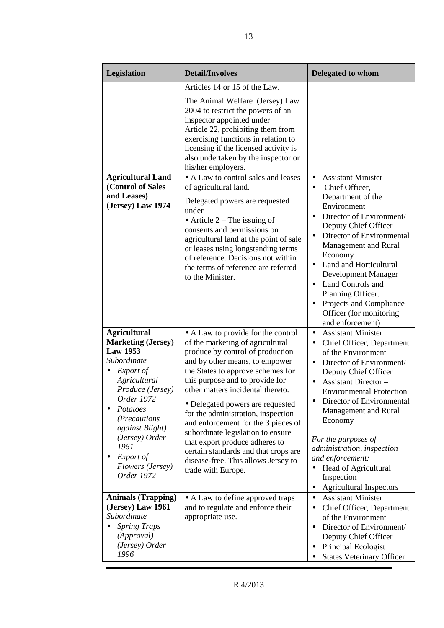| Legislation                                                                                                                                                                                                                                                               | <b>Detail/Involves</b>                                                                                                                                                                                                                                                                                                                                                                                                                                                                                                                                 | <b>Delegated to whom</b>                                                                                                                                                                                                                                                                                                                                                                                                                                                             |
|---------------------------------------------------------------------------------------------------------------------------------------------------------------------------------------------------------------------------------------------------------------------------|--------------------------------------------------------------------------------------------------------------------------------------------------------------------------------------------------------------------------------------------------------------------------------------------------------------------------------------------------------------------------------------------------------------------------------------------------------------------------------------------------------------------------------------------------------|--------------------------------------------------------------------------------------------------------------------------------------------------------------------------------------------------------------------------------------------------------------------------------------------------------------------------------------------------------------------------------------------------------------------------------------------------------------------------------------|
|                                                                                                                                                                                                                                                                           | Articles 14 or 15 of the Law.<br>The Animal Welfare (Jersey) Law<br>2004 to restrict the powers of an<br>inspector appointed under<br>Article 22, prohibiting them from<br>exercising functions in relation to<br>licensing if the licensed activity is<br>also undertaken by the inspector or<br>his/her employers.                                                                                                                                                                                                                                   |                                                                                                                                                                                                                                                                                                                                                                                                                                                                                      |
| <b>Agricultural Land</b><br>(Control of Sales<br>and Leases)<br>(Jersey) Law 1974                                                                                                                                                                                         | • A Law to control sales and leases<br>of agricultural land.<br>Delegated powers are requested<br>$under -$<br>• Article $2$ – The issuing of<br>consents and permissions on<br>agricultural land at the point of sale<br>or leases using longstanding terms<br>of reference. Decisions not within<br>the terms of reference are referred<br>to the Minister.                                                                                                                                                                                          | <b>Assistant Minister</b><br>$\bullet$<br>Chief Officer,<br>$\bullet$<br>Department of the<br>Environment<br>Director of Environment/<br>Deputy Chief Officer<br>Director of Environmental<br>$\bullet$<br>Management and Rural<br>Economy<br>Land and Horticultural<br>Development Manager<br>Land Controls and<br>$\bullet$<br>Planning Officer.<br>Projects and Compliance<br>$\bullet$<br>Officer (for monitoring<br>and enforcement)                                            |
| <b>Agricultural</b><br><b>Marketing (Jersey)</b><br><b>Law 1953</b><br>Subordinate<br>Export of<br>Agricultural<br>Produce (Jersey)<br>Order 1972<br>Potatoes<br>(Precautions<br>against Blight)<br>(Jersey) Order<br>1961<br>Export of<br>Flowers (Jersey)<br>Order 1972 | • A Law to provide for the control<br>of the marketing of agricultural<br>produce by control of production<br>and by other means, to empower<br>the States to approve schemes for<br>this purpose and to provide for<br>other matters incidental thereto.<br>• Delegated powers are requested<br>for the administration, inspection<br>and enforcement for the 3 pieces of<br>subordinate legislation to ensure<br>that export produce adheres to<br>certain standards and that crops are<br>disease-free. This allows Jersey to<br>trade with Europe. | <b>Assistant Minister</b><br>$\bullet$<br>Chief Officer, Department<br>$\bullet$<br>of the Environment<br>Director of Environment/<br>$\bullet$<br>Deputy Chief Officer<br><b>Assistant Director -</b><br><b>Environmental Protection</b><br>Director of Environmental<br>Management and Rural<br>Economy<br>For the purposes of<br>administration, inspection<br>and enforcement:<br>Head of Agricultural<br>$\bullet$<br>Inspection<br><b>Agricultural Inspectors</b><br>$\bullet$ |
| <b>Animals (Trapping)</b><br>(Jersey) Law 1961<br>Subordinate<br><b>Spring Traps</b><br>(Approval)<br>(Jersey) Order<br>1996                                                                                                                                              | • A Law to define approved traps<br>and to regulate and enforce their<br>appropriate use.                                                                                                                                                                                                                                                                                                                                                                                                                                                              | <b>Assistant Minister</b><br>$\bullet$<br>Chief Officer, Department<br>$\bullet$<br>of the Environment<br>Director of Environment/<br>$\bullet$<br>Deputy Chief Officer<br>Principal Ecologist<br><b>States Veterinary Officer</b>                                                                                                                                                                                                                                                   |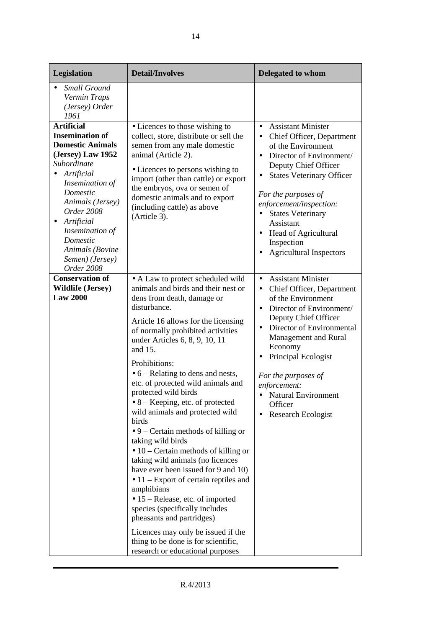| Legislation                                                                                                                                                                                                                                                                                             | <b>Detail/Involves</b>                                                                                                                                                                                                                                                                                                                                                                                                                                                                                                                                                                                                                                                                                                                                                                                                                                                                                                                                | Delegated to whom                                                                                                                                                                                                                                                                                                                                                                                                 |
|---------------------------------------------------------------------------------------------------------------------------------------------------------------------------------------------------------------------------------------------------------------------------------------------------------|-------------------------------------------------------------------------------------------------------------------------------------------------------------------------------------------------------------------------------------------------------------------------------------------------------------------------------------------------------------------------------------------------------------------------------------------------------------------------------------------------------------------------------------------------------------------------------------------------------------------------------------------------------------------------------------------------------------------------------------------------------------------------------------------------------------------------------------------------------------------------------------------------------------------------------------------------------|-------------------------------------------------------------------------------------------------------------------------------------------------------------------------------------------------------------------------------------------------------------------------------------------------------------------------------------------------------------------------------------------------------------------|
| <b>Small Ground</b><br>Vermin Traps<br>(Jersey) Order<br>1961                                                                                                                                                                                                                                           |                                                                                                                                                                                                                                                                                                                                                                                                                                                                                                                                                                                                                                                                                                                                                                                                                                                                                                                                                       |                                                                                                                                                                                                                                                                                                                                                                                                                   |
| <b>Artificial</b><br><b>Insemination of</b><br><b>Domestic Animals</b><br>(Jersey) Law 1952<br>Subordinate<br>Artificial<br>Insemination of<br>Domestic<br>Animals (Jersey)<br>Order 2008<br>Artificial<br>$\bullet$<br>Insemination of<br>Domestic<br>Animals (Bovine<br>Semen) (Jersey)<br>Order 2008 | • Licences to those wishing to<br>collect, store, distribute or sell the<br>semen from any male domestic<br>animal (Article 2).<br>• Licences to persons wishing to<br>import (other than cattle) or export<br>the embryos, ova or semen of<br>domestic animals and to export<br>(including cattle) as above<br>(Article 3).                                                                                                                                                                                                                                                                                                                                                                                                                                                                                                                                                                                                                          | <b>Assistant Minister</b><br>$\bullet$<br>• Chief Officer, Department<br>of the Environment<br>Director of Environment/<br>$\bullet$<br>Deputy Chief Officer<br><b>States Veterinary Officer</b><br>$\bullet$<br>For the purposes of<br>enforcement/inspection:<br><b>States Veterinary</b><br>Assistant<br><b>Head of Agricultural</b><br>$\bullet$<br>Inspection<br><b>Agricultural Inspectors</b><br>$\bullet$ |
| <b>Conservation of</b><br><b>Wildlife (Jersey)</b><br><b>Law 2000</b>                                                                                                                                                                                                                                   | • A Law to protect scheduled wild<br>animals and birds and their nest or<br>dens from death, damage or<br>disturbance.<br>Article 16 allows for the licensing<br>of normally prohibited activities<br>under Articles 6, 8, 9, 10, 11<br>and 15.<br>Prohibitions:<br>$\bullet$ 6 – Relating to dens and nests,<br>etc. of protected wild animals and<br>protected wild birds<br>$\bullet$ 8 – Keeping, etc. of protected<br>wild animals and protected wild<br>birds<br>$\bullet$ 9 – Certain methods of killing or<br>taking wild birds<br>$\bullet$ 10 – Certain methods of killing or<br>taking wild animals (no licences<br>have ever been issued for 9 and 10)<br>$\bullet$ 11 – Export of certain reptiles and<br>amphibians<br>• 15 – Release, etc. of imported<br>species (specifically includes<br>pheasants and partridges)<br>Licences may only be issued if the<br>thing to be done is for scientific,<br>research or educational purposes | <b>Assistant Minister</b><br>$\bullet$<br>Chief Officer, Department<br>$\bullet$<br>of the Environment<br>Director of Environment/<br>$\bullet$<br>Deputy Chief Officer<br>Director of Environmental<br>$\bullet$<br>Management and Rural<br>Economy<br>Principal Ecologist<br>For the purposes of<br>enforcement:<br>• Natural Environment<br>Officer<br>Research Ecologist                                      |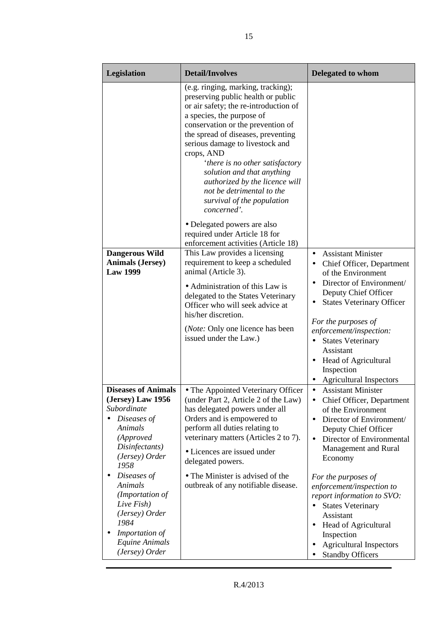| Legislation                                                                                                                                       | <b>Detail/Involves</b>                                                                                                                                                                                                                                                                                                                                                                                                                                  | <b>Delegated to whom</b>                                                                                                                                                                                                                                                                                          |
|---------------------------------------------------------------------------------------------------------------------------------------------------|---------------------------------------------------------------------------------------------------------------------------------------------------------------------------------------------------------------------------------------------------------------------------------------------------------------------------------------------------------------------------------------------------------------------------------------------------------|-------------------------------------------------------------------------------------------------------------------------------------------------------------------------------------------------------------------------------------------------------------------------------------------------------------------|
|                                                                                                                                                   | (e.g. ringing, marking, tracking);<br>preserving public health or public<br>or air safety; the re-introduction of<br>a species, the purpose of<br>conservation or the prevention of<br>the spread of diseases, preventing<br>serious damage to livestock and<br>crops, AND<br>'there is no other satisfactory<br>solution and that anything<br>authorized by the licence will<br>not be detrimental to the<br>survival of the population<br>concerned'. |                                                                                                                                                                                                                                                                                                                   |
|                                                                                                                                                   | • Delegated powers are also<br>required under Article 18 for<br>enforcement activities (Article 18)                                                                                                                                                                                                                                                                                                                                                     |                                                                                                                                                                                                                                                                                                                   |
| <b>Dangerous Wild</b><br><b>Animals (Jersey)</b><br><b>Law 1999</b>                                                                               | This Law provides a licensing<br>requirement to keep a scheduled<br>animal (Article 3).<br>• Administration of this Law is<br>delegated to the States Veterinary<br>Officer who will seek advice at<br>his/her discretion.<br>( <i>Note:</i> Only one licence has been<br>issued under the Law.)                                                                                                                                                        | <b>Assistant Minister</b><br>$\bullet$<br>Chief Officer, Department<br>of the Environment<br>Director of Environment/<br>Deputy Chief Officer<br><b>States Veterinary Officer</b><br>For the purposes of<br>enforcement/inspection:<br><b>States Veterinary</b><br>$\bullet$<br>Assistant<br>Head of Agricultural |
|                                                                                                                                                   |                                                                                                                                                                                                                                                                                                                                                                                                                                                         | Inspection<br><b>Agricultural Inspectors</b>                                                                                                                                                                                                                                                                      |
| <b>Diseases of Animals</b><br>(Jersey) Law 1956<br>Subordinate<br>Diseases of<br>Animals<br>(Approved<br>Disinfectants)<br>(Jersey) Order<br>1958 | • The Appointed Veterinary Officer<br>(under Part 2, Article 2 of the Law)<br>has delegated powers under all<br>Orders and is empowered to<br>perform all duties relating to<br>veterinary matters (Articles 2 to 7).<br>• Licences are issued under<br>delegated powers.                                                                                                                                                                               | <b>Assistant Minister</b><br>$\bullet$<br>Chief Officer, Department<br>٠<br>of the Environment<br>Director of Environment/<br>$\bullet$<br>Deputy Chief Officer<br>Director of Environmental<br>$\bullet$<br>Management and Rural<br>Economy                                                                      |
| Diseases of<br>Animals<br>(Importation of<br>Live Fish)<br>(Jersey) Order<br>1984<br>Importation of<br>Equine Animals<br>(Jersey) Order           | • The Minister is advised of the<br>outbreak of any notifiable disease.                                                                                                                                                                                                                                                                                                                                                                                 | For the purposes of<br>enforcement/inspection to<br>report information to SVO:<br><b>States Veterinary</b><br>Assistant<br>Head of Agricultural<br>$\bullet$<br>Inspection<br><b>Agricultural Inspectors</b><br><b>Standby Officers</b>                                                                           |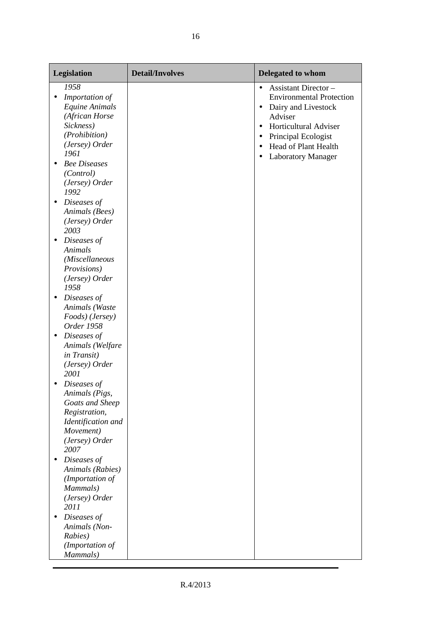| Legislation                                                                                                                                                                                                                                                                                                                                                                                                                                                                                                                                                                                                                                                                                                                                                                             | <b>Detail/Involves</b> | Delegated to whom                                                                                                                                                                                                                                                                          |
|-----------------------------------------------------------------------------------------------------------------------------------------------------------------------------------------------------------------------------------------------------------------------------------------------------------------------------------------------------------------------------------------------------------------------------------------------------------------------------------------------------------------------------------------------------------------------------------------------------------------------------------------------------------------------------------------------------------------------------------------------------------------------------------------|------------------------|--------------------------------------------------------------------------------------------------------------------------------------------------------------------------------------------------------------------------------------------------------------------------------------------|
| 1958<br>Importation of<br>٠<br>Equine Animals<br>(African Horse<br>Sickness)<br>(Prohibition)<br>(Jersey) Order<br>1961<br><b>Bee Diseases</b><br>$\bullet$<br>(Control)<br>(Jersey) Order<br>1992<br>Diseases of<br>$\bullet$<br>Animals (Bees)<br>(Jersey) Order<br>2003<br>Diseases of<br>$\bullet$<br>Animals<br>(Miscellaneous<br>Provisions)<br>(Jersey) Order<br>1958<br>Diseases of<br>$\bullet$<br>Animals (Waste<br>Foods) (Jersey)<br>Order 1958<br>Diseases of<br>$\bullet$<br>Animals (Welfare<br>in Transit)<br>(Jersey) Order<br>2001<br>Diseases of<br>Animals (Pigs,<br>Goats and Sheep<br>Registration,<br>Identification and<br>Movement)<br>(Jersey) Order<br>2007<br>Diseases of<br>$\bullet$<br>Animals (Rabies)<br>(Importation of<br>Mammals)<br>(Jersey) Order |                        | <b>Assistant Director -</b><br>$\bullet$<br><b>Environmental Protection</b><br>Dairy and Livestock<br>$\bullet$<br>Adviser<br><b>Horticultural Adviser</b><br>$\bullet$<br>Principal Ecologist<br>$\bullet$<br>Head of Plant Health<br>$\bullet$<br><b>Laboratory Manager</b><br>$\bullet$ |
| 2011<br>Diseases of<br>$\bullet$<br>Animals (Non-<br>Rabies)<br>(Importation of<br>Mammals)                                                                                                                                                                                                                                                                                                                                                                                                                                                                                                                                                                                                                                                                                             |                        |                                                                                                                                                                                                                                                                                            |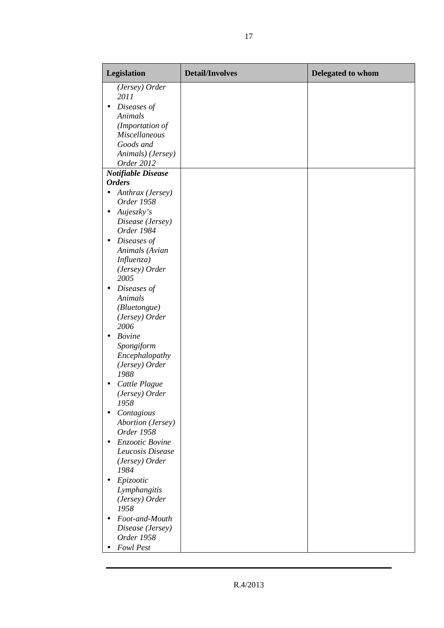| Legislation                                        | <b>Detail/Involves</b> | Delegated to whom |
|----------------------------------------------------|------------------------|-------------------|
| (Jersey) Order<br>2011<br>Diseases of<br>$\bullet$ |                        |                   |
| Animals                                            |                        |                   |
| (Importation of                                    |                        |                   |
| <b>Miscellaneous</b><br>Goods and                  |                        |                   |
| Animals) (Jersey)                                  |                        |                   |
| Order 2012                                         |                        |                   |
| <b>Notifiable Disease</b>                          |                        |                   |
| <b>Orders</b>                                      |                        |                   |
| Anthrax (Jersey)<br>$\bullet$<br>Order 1958        |                        |                   |
| Aujeszky's<br>$\bullet$                            |                        |                   |
| Disease (Jersey)<br>Order 1984                     |                        |                   |
| Diseases of<br>$\bullet$                           |                        |                   |
| Animals (Avian<br>Influenza)                       |                        |                   |
| (Jersey) Order                                     |                        |                   |
| 2005                                               |                        |                   |
| Diseases of<br>$\bullet$                           |                        |                   |
| Animals                                            |                        |                   |
| (Bluetongue)                                       |                        |                   |
| (Jersey) Order<br>2006                             |                        |                   |
| <b>Bovine</b><br>$\bullet$<br>Spongiform           |                        |                   |
| Encephalopathy                                     |                        |                   |
| (Jersey) Order                                     |                        |                   |
| 1988                                               |                        |                   |
| Cattle Plague<br>$\bullet$                         |                        |                   |
| (Jersey) Order                                     |                        |                   |
| 1958<br>Contagious                                 |                        |                   |
| <b>Abortion</b> (Jersey)                           |                        |                   |
| Order 1958                                         |                        |                   |
| Enzootic Bovine                                    |                        |                   |
| Leucosis Disease                                   |                        |                   |
| (Jersey) Order<br>1984                             |                        |                   |
| Epizootic<br>٠                                     |                        |                   |
| Lymphangitis                                       |                        |                   |
| (Jersey) Order<br>1958                             |                        |                   |
| Foot-and-Mouth<br>$\bullet$                        |                        |                   |
| Disease (Jersey)                                   |                        |                   |
| Order 1958<br>Fowl Pest                            |                        |                   |
|                                                    |                        |                   |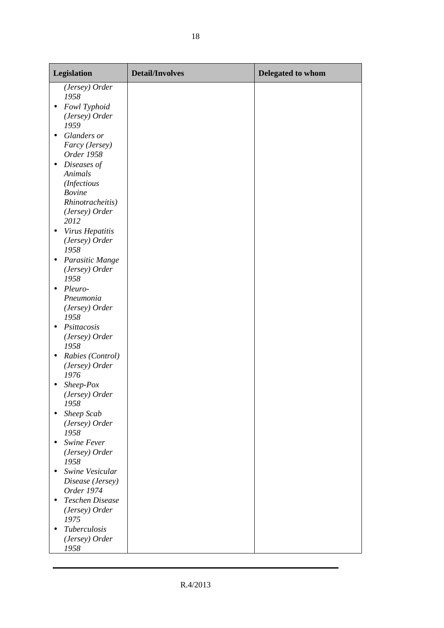| Legislation                                                         | <b>Detail/Involves</b> | Delegated to whom |
|---------------------------------------------------------------------|------------------------|-------------------|
| (Jersey) Order<br>1958<br>Fowl Typhoid<br>$\bullet$                 |                        |                   |
| (Jersey) Order<br>1959                                              |                        |                   |
| Glanders or<br>$\bullet$<br>Farcy (Jersey)<br>Order 1958            |                        |                   |
| Diseases of<br>$\bullet$<br>Animals<br>(Infectious<br><b>Bovine</b> |                        |                   |
| Rhinotracheitis)<br>(Jersey) Order<br>2012                          |                        |                   |
| Virus Hepatitis<br>(Jersey) Order<br>1958                           |                        |                   |
| Parasitic Mange<br>$\bullet$<br>(Jersey) Order<br>1958              |                        |                   |
| Pleuro-<br>٠<br>Pneumonia<br>(Jersey) Order<br>1958                 |                        |                   |
| Psittacosis<br>$\bullet$<br>(Jersey) Order<br>1958                  |                        |                   |
| Rabies (Control)<br>٠<br>(Jersey) Order<br>1976                     |                        |                   |
| Sheep-Pox<br>(Jersey) Order<br>1958                                 |                        |                   |
| Sheep Scab<br>$\bullet$<br>(Jersey) Order<br>1958                   |                        |                   |
| Swine Fever<br>$\bullet$<br>(Jersey) Order<br>1958                  |                        |                   |
| Swine Vesicular<br>$\bullet$<br>Disease (Jersey)<br>Order 1974      |                        |                   |
| <b>Teschen Disease</b><br>$\bullet$<br>(Jersey) Order<br>1975       |                        |                   |
| Tuberculosis<br>٠<br>(Jersey) Order<br>1958                         |                        |                   |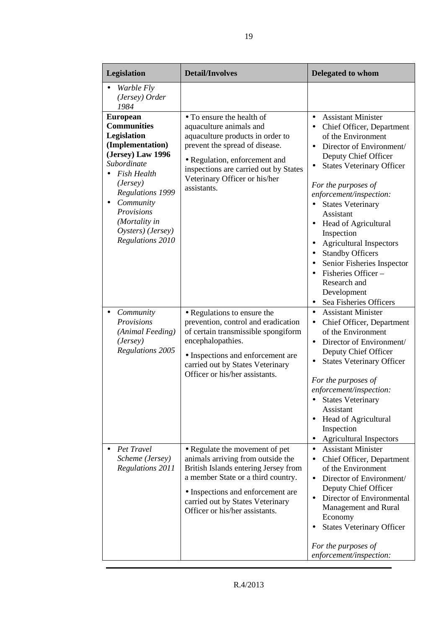| Legislation                                                                                                                                                                                                                                                    | <b>Detail/Involves</b>                                                                                                                                                                                                                                       | Delegated to whom                                                                                                                                                                                                                                                                                                                                                                                                                                                                                                                                 |
|----------------------------------------------------------------------------------------------------------------------------------------------------------------------------------------------------------------------------------------------------------------|--------------------------------------------------------------------------------------------------------------------------------------------------------------------------------------------------------------------------------------------------------------|---------------------------------------------------------------------------------------------------------------------------------------------------------------------------------------------------------------------------------------------------------------------------------------------------------------------------------------------------------------------------------------------------------------------------------------------------------------------------------------------------------------------------------------------------|
| <i>Warble Fly</i><br>(Jersey) Order<br>1984                                                                                                                                                                                                                    |                                                                                                                                                                                                                                                              |                                                                                                                                                                                                                                                                                                                                                                                                                                                                                                                                                   |
| <b>European</b><br><b>Communities</b><br>Legislation<br>(Implementation)<br>(Jersey) Law 1996<br>Subordinate<br><b>Fish Health</b><br>(Jersey)<br><b>Regulations 1999</b><br>Community<br>Provisions<br>(Mortality in<br>Oysters) (Jersey)<br>Regulations 2010 | • To ensure the health of<br>aquaculture animals and<br>aquaculture products in order to<br>prevent the spread of disease.<br>• Regulation, enforcement and<br>inspections are carried out by States<br>Veterinary Officer or his/her<br>assistants.         | <b>Assistant Minister</b><br>$\bullet$<br>Chief Officer, Department<br>$\bullet$<br>of the Environment<br>Director of Environment/<br>Deputy Chief Officer<br><b>States Veterinary Officer</b><br>For the purposes of<br>enforcement/inspection:<br><b>States Veterinary</b><br>$\bullet$<br>Assistant<br>Head of Agricultural<br>$\bullet$<br>Inspection<br><b>Agricultural Inspectors</b><br><b>Standby Officers</b><br>Senior Fisheries Inspector<br>Fisheries Officer –<br>Research and<br>Development<br>Sea Fisheries Officers<br>$\bullet$ |
| Community<br>Provisions<br>(Animal Feeding)<br>(Jersey)<br>Regulations 2005                                                                                                                                                                                    | • Regulations to ensure the<br>prevention, control and eradication<br>of certain transmissible spongiform<br>encephalopathies.<br>• Inspections and enforcement are<br>carried out by States Veterinary<br>Officer or his/her assistants.                    | <b>Assistant Minister</b><br>$\bullet$<br>Chief Officer, Department<br>$\bullet$<br>of the Environment<br>Director of Environment/<br>$\bullet$<br>Deputy Chief Officer<br><b>States Veterinary Officer</b><br>$\bullet$<br>For the purposes of<br>enforcement/inspection:<br><b>States Veterinary</b><br>Assistant<br><b>Head of Agricultural</b><br>$\bullet$<br>Inspection<br><b>Agricultural Inspectors</b>                                                                                                                                   |
| Pet Travel<br>Scheme (Jersey)<br>Regulations 2011                                                                                                                                                                                                              | • Regulate the movement of pet<br>animals arriving from outside the<br>British Islands entering Jersey from<br>a member State or a third country.<br>• Inspections and enforcement are<br>carried out by States Veterinary<br>Officer or his/her assistants. | <b>Assistant Minister</b><br>$\bullet$<br>Chief Officer, Department<br>$\bullet$<br>of the Environment<br>Director of Environment/<br>$\bullet$<br>Deputy Chief Officer<br>Director of Environmental<br>Management and Rural<br>Economy<br><b>States Veterinary Officer</b><br>For the purposes of<br>enforcement/inspection:                                                                                                                                                                                                                     |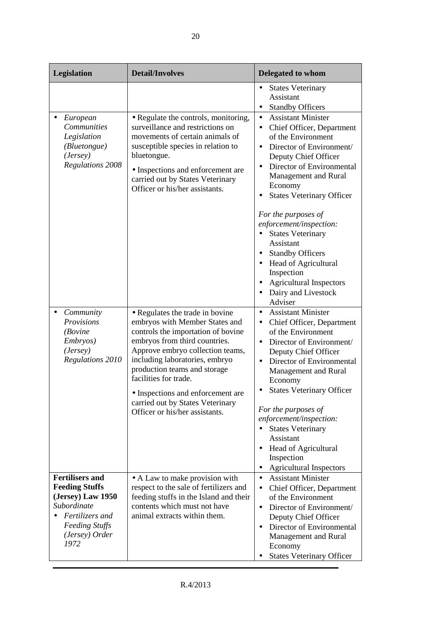| Legislation                                                                                                                                               | <b>Detail/Involves</b>                                                                                                                                                                                                                                                                                                                                                             | Delegated to whom                                                                                                                                                                                                                                                                                                                                                                                                                                                                                      |
|-----------------------------------------------------------------------------------------------------------------------------------------------------------|------------------------------------------------------------------------------------------------------------------------------------------------------------------------------------------------------------------------------------------------------------------------------------------------------------------------------------------------------------------------------------|--------------------------------------------------------------------------------------------------------------------------------------------------------------------------------------------------------------------------------------------------------------------------------------------------------------------------------------------------------------------------------------------------------------------------------------------------------------------------------------------------------|
|                                                                                                                                                           |                                                                                                                                                                                                                                                                                                                                                                                    | <b>States Veterinary</b><br>Assistant<br><b>Standby Officers</b><br>$\bullet$                                                                                                                                                                                                                                                                                                                                                                                                                          |
| European<br>Communities<br>Legislation<br>(Bluetongue)<br>(Jersey)<br><b>Regulations 2008</b>                                                             | • Regulate the controls, monitoring,<br>surveillance and restrictions on<br>movements of certain animals of<br>susceptible species in relation to<br>bluetongue.<br>• Inspections and enforcement are<br>carried out by States Veterinary<br>Officer or his/her assistants.                                                                                                        | <b>Assistant Minister</b><br>$\bullet$<br>Chief Officer, Department<br>$\bullet$<br>of the Environment<br>Director of Environment/<br>Deputy Chief Officer<br>Director of Environmental<br>Management and Rural<br>Economy<br><b>States Veterinary Officer</b><br>For the purposes of<br>enforcement/inspection:<br><b>States Veterinary</b><br>Assistant<br>• Standby Officers<br>Head of Agricultural<br>Inspection<br><b>Agricultural Inspectors</b><br>Dairy and Livestock<br>$\bullet$<br>Adviser |
| Community<br>$\bullet$<br>Provisions<br>(Bovine<br>Embryos)<br>(Jersey)<br><b>Regulations 2010</b>                                                        | • Regulates the trade in bovine<br>embryos with Member States and<br>controls the importation of bovine<br>embryos from third countries.<br>Approve embryo collection teams,<br>including laboratories, embryo<br>production teams and storage<br>facilities for trade.<br>• Inspections and enforcement are<br>carried out by States Veterinary<br>Officer or his/her assistants. | <b>Assistant Minister</b><br>$\bullet$<br>Chief Officer, Department<br>$\bullet$<br>of the Environment<br>Director of Environment/<br>$\bullet$<br>Deputy Chief Officer<br>Director of Environmental<br>Management and Rural<br>Economy<br><b>States Veterinary Officer</b><br>For the purposes of<br>enforcement/inspection:<br><b>States Veterinary</b><br>Assistant<br>Head of Agricultural<br>Inspection<br><b>Agricultural Inspectors</b><br>$\bullet$                                            |
| <b>Fertilisers and</b><br><b>Feeding Stuffs</b><br>(Jersey) Law 1950<br>Subordinate<br>Fertilizers and<br><b>Feeding Stuffs</b><br>(Jersey) Order<br>1972 | • A Law to make provision with<br>respect to the sale of fertilizers and<br>feeding stuffs in the Island and their<br>contents which must not have<br>animal extracts within them.                                                                                                                                                                                                 | <b>Assistant Minister</b><br>$\bullet$<br>Chief Officer, Department<br>$\bullet$<br>of the Environment<br>Director of Environment/<br>$\bullet$<br>Deputy Chief Officer<br>Director of Environmental<br>Management and Rural<br>Economy<br><b>States Veterinary Officer</b>                                                                                                                                                                                                                            |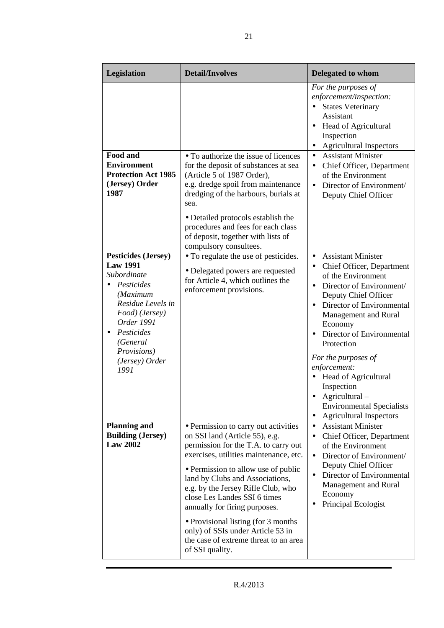| Legislation                                                                                                                                                                                                    | <b>Detail/Involves</b>                                                                                                                                                                                                                                                                                                                                                                                                                                                             | Delegated to whom                                                                                                                                                                                                                                                                                                                                                                                                                                                        |
|----------------------------------------------------------------------------------------------------------------------------------------------------------------------------------------------------------------|------------------------------------------------------------------------------------------------------------------------------------------------------------------------------------------------------------------------------------------------------------------------------------------------------------------------------------------------------------------------------------------------------------------------------------------------------------------------------------|--------------------------------------------------------------------------------------------------------------------------------------------------------------------------------------------------------------------------------------------------------------------------------------------------------------------------------------------------------------------------------------------------------------------------------------------------------------------------|
| <b>Food and</b><br><b>Environment</b><br><b>Protection Act 1985</b><br>(Jersey) Order<br>1987                                                                                                                  | • To authorize the issue of licences<br>for the deposit of substances at sea<br>(Article 5 of 1987 Order),<br>e.g. dredge spoil from maintenance<br>dredging of the harbours, burials at<br>sea.<br>• Detailed protocols establish the<br>procedures and fees for each class<br>of deposit, together with lists of<br>compulsory consultees.                                                                                                                                       | For the purposes of<br>enforcement/inspection:<br><b>States Veterinary</b><br>Assistant<br>Head of Agricultural<br>$\bullet$<br>Inspection<br><b>Agricultural Inspectors</b><br><b>Assistant Minister</b><br>$\bullet$<br>Chief Officer, Department<br>$\bullet$<br>of the Environment<br>Director of Environment/<br>$\bullet$<br>Deputy Chief Officer                                                                                                                  |
| <b>Pesticides (Jersey)</b><br><b>Law 1991</b><br>Subordinate<br>Pesticides<br>(Maximum<br>Residue Levels in<br>Food) (Jersey)<br>Order 1991<br>Pesticides<br>(General<br>Provisions)<br>(Jersey) Order<br>1991 | • To regulate the use of pesticides.<br>• Delegated powers are requested<br>for Article 4, which outlines the<br>enforcement provisions.                                                                                                                                                                                                                                                                                                                                           | <b>Assistant Minister</b><br>$\bullet$<br>Chief Officer, Department<br>$\bullet$<br>of the Environment<br>Director of Environment/<br>$\bullet$<br>Deputy Chief Officer<br>Director of Environmental<br>$\bullet$<br>Management and Rural<br>Economy<br>Director of Environmental<br>Protection<br>For the purposes of<br>enforcement:<br>Head of Agricultural<br>Inspection<br>Agricultural-<br><b>Environmental Specialists</b><br><b>Agricultural Inspectors</b><br>٠ |
| <b>Planning and</b><br><b>Building (Jersey)</b><br><b>Law 2002</b>                                                                                                                                             | • Permission to carry out activities<br>on SSI land (Article 55), e.g.<br>permission for the T.A. to carry out<br>exercises, utilities maintenance, etc.<br>• Permission to allow use of public<br>land by Clubs and Associations,<br>e.g. by the Jersey Rifle Club, who<br>close Les Landes SSI 6 times<br>annually for firing purposes.<br>• Provisional listing (for 3 months)<br>only) of SSIs under Article 53 in<br>the case of extreme threat to an area<br>of SSI quality. | <b>Assistant Minister</b><br>$\bullet$<br>Chief Officer, Department<br>$\bullet$<br>of the Environment<br>Director of Environment/<br>$\bullet$<br>Deputy Chief Officer<br>Director of Environmental<br>$\bullet$<br>Management and Rural<br>Economy<br>Principal Ecologist                                                                                                                                                                                              |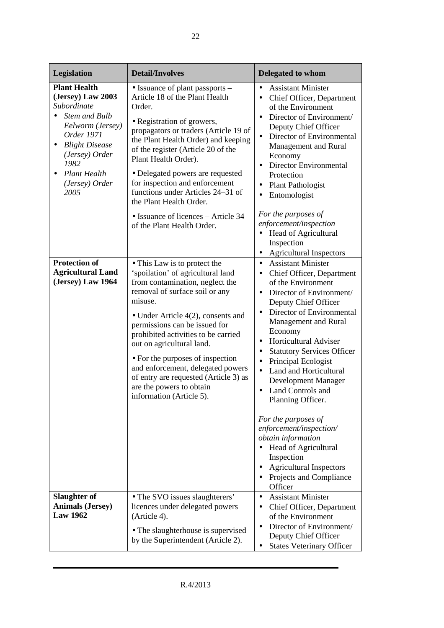| Legislation                                                                                                                                                                                                                             | <b>Detail/Involves</b>                                                                                                                                                                                                                                                                                                                                                                                                                                                    | <b>Delegated to whom</b>                                                                                                                                                                                                                                                                                                                                                                                                                                                                                                                                                                                                                                                                         |
|-----------------------------------------------------------------------------------------------------------------------------------------------------------------------------------------------------------------------------------------|---------------------------------------------------------------------------------------------------------------------------------------------------------------------------------------------------------------------------------------------------------------------------------------------------------------------------------------------------------------------------------------------------------------------------------------------------------------------------|--------------------------------------------------------------------------------------------------------------------------------------------------------------------------------------------------------------------------------------------------------------------------------------------------------------------------------------------------------------------------------------------------------------------------------------------------------------------------------------------------------------------------------------------------------------------------------------------------------------------------------------------------------------------------------------------------|
| <b>Plant Health</b><br>(Jersey) Law 2003<br>Subordinate<br><b>Stem and Bulb</b><br>Eelworm (Jersey)<br>Order 1971<br><b>Blight Disease</b><br>٠<br>(Jersey) Order<br>1982<br><b>Plant Health</b><br>$\bullet$<br>(Jersey) Order<br>2005 | • Issuance of plant passports –<br>Article 18 of the Plant Health<br>Order.<br>• Registration of growers,<br>propagators or traders (Article 19 of<br>the Plant Health Order) and keeping<br>of the register (Article 20 of the<br>Plant Health Order).<br>• Delegated powers are requested<br>for inspection and enforcement<br>functions under Articles 24-31 of<br>the Plant Health Order.<br>• Issuance of licences – Article 34<br>of the Plant Health Order.        | <b>Assistant Minister</b><br>$\bullet$<br>Chief Officer, Department<br>$\bullet$<br>of the Environment<br>Director of Environment/<br>$\bullet$<br>Deputy Chief Officer<br>Director of Environmental<br>$\bullet$<br>Management and Rural<br>Economy<br>Director Environmental<br>$\bullet$<br>Protection<br><b>Plant Pathologist</b><br>$\bullet$<br>Entomologist<br>$\bullet$<br>For the purposes of<br>enforcement/inspection<br>Head of Agricultural<br>$\bullet$<br>Inspection<br><b>Agricultural Inspectors</b><br>$\bullet$                                                                                                                                                               |
| <b>Protection of</b><br><b>Agricultural Land</b><br>(Jersey) Law 1964                                                                                                                                                                   | • This Law is to protect the<br>'spoilation' of agricultural land<br>from contamination, neglect the<br>removal of surface soil or any<br>misuse.<br>• Under Article $4(2)$ , consents and<br>permissions can be issued for<br>prohibited activities to be carried<br>out on agricultural land.<br>• For the purposes of inspection<br>and enforcement, delegated powers<br>of entry are requested (Article 3) as<br>are the powers to obtain<br>information (Article 5). | <b>Assistant Minister</b><br>$\bullet$<br>Chief Officer, Department<br>$\bullet$<br>of the Environment<br>Director of Environment/<br>$\bullet$<br>Deputy Chief Officer<br>Director of Environmental<br>Management and Rural<br>Economy<br>Horticultural Adviser<br>$\bullet$<br><b>Statutory Services Officer</b><br>$\bullet$<br>Principal Ecologist<br>$\bullet$<br>Land and Horticultural<br>$\bullet$<br>Development Manager<br>Land Controls and<br>$\bullet$<br>Planning Officer.<br>For the purposes of<br>enforcement/inspection/<br>obtain information<br>Head of Agricultural<br>$\bullet$<br>Inspection<br><b>Agricultural Inspectors</b><br>٠<br>Projects and Compliance<br>Officer |
| <b>Slaughter of</b><br><b>Animals (Jersey)</b><br><b>Law 1962</b>                                                                                                                                                                       | • The SVO issues slaughterers'<br>licences under delegated powers<br>(Article 4).<br>• The slaughterhouse is supervised<br>by the Superintendent (Article 2).                                                                                                                                                                                                                                                                                                             | <b>Assistant Minister</b><br>$\bullet$<br>Chief Officer, Department<br>of the Environment<br>Director of Environment/<br>$\bullet$<br>Deputy Chief Officer<br><b>States Veterinary Officer</b><br>$\bullet$                                                                                                                                                                                                                                                                                                                                                                                                                                                                                      |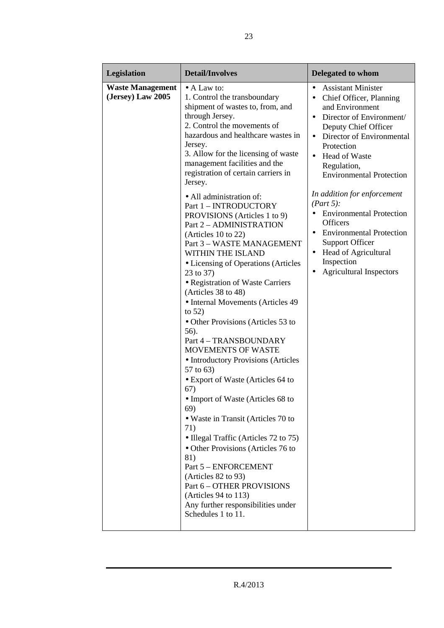| Legislation                                  | <b>Detail/Involves</b>                                                                                                                                                                                                                                                                                                                                                                                                                                                                                                                                                                                                                                                                                                                                                                                                                                                                                                                                                                                                                                                                                                                                                                                                                 | <b>Delegated to whom</b>                                                                                                                                                                                                                                                                                                                                                                                                                                                                                                                                     |
|----------------------------------------------|----------------------------------------------------------------------------------------------------------------------------------------------------------------------------------------------------------------------------------------------------------------------------------------------------------------------------------------------------------------------------------------------------------------------------------------------------------------------------------------------------------------------------------------------------------------------------------------------------------------------------------------------------------------------------------------------------------------------------------------------------------------------------------------------------------------------------------------------------------------------------------------------------------------------------------------------------------------------------------------------------------------------------------------------------------------------------------------------------------------------------------------------------------------------------------------------------------------------------------------|--------------------------------------------------------------------------------------------------------------------------------------------------------------------------------------------------------------------------------------------------------------------------------------------------------------------------------------------------------------------------------------------------------------------------------------------------------------------------------------------------------------------------------------------------------------|
| <b>Waste Management</b><br>(Jersey) Law 2005 | $\bullet$ A Law to:<br>1. Control the transboundary<br>shipment of wastes to, from, and<br>through Jersey.<br>2. Control the movements of<br>hazardous and healthcare wastes in<br>Jersey.<br>3. Allow for the licensing of waste<br>management facilities and the<br>registration of certain carriers in<br>Jersey.<br>• All administration of:<br>Part 1 - INTRODUCTORY<br>PROVISIONS (Articles 1 to 9)<br>Part 2 - ADMINISTRATION<br>(Articles $10$ to $22$ )<br>Part 3 - WASTE MANAGEMENT<br>WITHIN THE ISLAND<br>• Licensing of Operations (Articles<br>23 to 37)<br>· Registration of Waste Carriers<br>(Articles 38 to 48)<br>• Internal Movements (Articles 49<br>to $52)$<br>• Other Provisions (Articles 53 to<br>56).<br>Part 4 - TRANSBOUNDARY<br><b>MOVEMENTS OF WASTE</b><br>• Introductory Provisions (Articles<br>57 to 63)<br>• Export of Waste (Articles 64 to<br>67)<br>• Import of Waste (Articles 68 to<br>69)<br>• Waste in Transit (Articles 70 to<br>71)<br>• Illegal Traffic (Articles 72 to 75)<br>• Other Provisions (Articles 76 to<br>81)<br>Part 5 - ENFORCEMENT<br>(Articles 82 to 93)<br>Part 6 - OTHER PROVISIONS<br>(Articles 94 to 113)<br>Any further responsibilities under<br>Schedules 1 to 11. | <b>Assistant Minister</b><br>$\bullet$<br>Chief Officer, Planning<br>$\bullet$<br>and Environment<br>Director of Environment/<br>Deputy Chief Officer<br>Director of Environmental<br>$\bullet$<br>Protection<br>Head of Waste<br>$\bullet$<br>Regulation,<br><b>Environmental Protection</b><br>In addition for enforcement<br>(Part 5):<br><b>Environmental Protection</b><br>$\bullet$<br>Officers<br><b>Environmental Protection</b><br><b>Support Officer</b><br>Head of Agricultural<br>٠<br>Inspection<br><b>Agricultural Inspectors</b><br>$\bullet$ |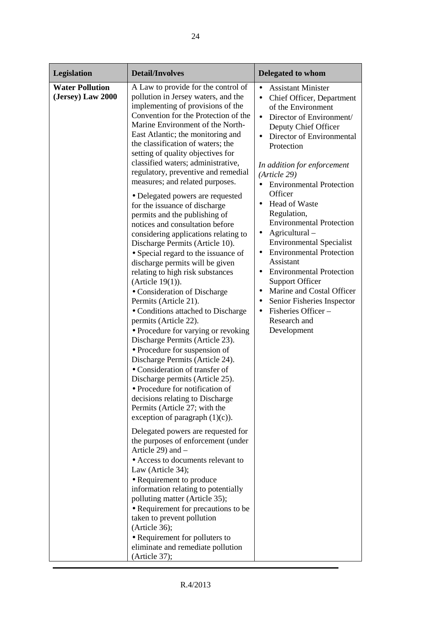| Legislation                                 | <b>Detail/Involves</b>                                                                                                                                                                                                                                                                                                                                                                                                                                                                                                                                                                                                                                                                                                                                                                                                                                                                                                                                                                                                                                                                                                                                                                                                                                                                                                                                                                                                                                                                                                                                                                                                                                                                                                    | <b>Delegated to whom</b>                                                                                                                                                                                                                                                                                                                                                                                                                                                                                                                                                                                                                                                                                                                    |
|---------------------------------------------|---------------------------------------------------------------------------------------------------------------------------------------------------------------------------------------------------------------------------------------------------------------------------------------------------------------------------------------------------------------------------------------------------------------------------------------------------------------------------------------------------------------------------------------------------------------------------------------------------------------------------------------------------------------------------------------------------------------------------------------------------------------------------------------------------------------------------------------------------------------------------------------------------------------------------------------------------------------------------------------------------------------------------------------------------------------------------------------------------------------------------------------------------------------------------------------------------------------------------------------------------------------------------------------------------------------------------------------------------------------------------------------------------------------------------------------------------------------------------------------------------------------------------------------------------------------------------------------------------------------------------------------------------------------------------------------------------------------------------|---------------------------------------------------------------------------------------------------------------------------------------------------------------------------------------------------------------------------------------------------------------------------------------------------------------------------------------------------------------------------------------------------------------------------------------------------------------------------------------------------------------------------------------------------------------------------------------------------------------------------------------------------------------------------------------------------------------------------------------------|
| <b>Water Pollution</b><br>(Jersey) Law 2000 | A Law to provide for the control of<br>pollution in Jersey waters, and the<br>implementing of provisions of the<br>Convention for the Protection of the<br>Marine Environment of the North-<br>East Atlantic; the monitoring and<br>the classification of waters; the<br>setting of quality objectives for<br>classified waters; administrative,<br>regulatory, preventive and remedial<br>measures; and related purposes.<br>· Delegated powers are requested<br>for the issuance of discharge<br>permits and the publishing of<br>notices and consultation before<br>considering applications relating to<br>Discharge Permits (Article 10).<br>• Special regard to the issuance of<br>discharge permits will be given<br>relating to high risk substances<br>(Article $19(1)$ ).<br>• Consideration of Discharge<br>Permits (Article 21).<br>• Conditions attached to Discharge<br>permits (Article 22).<br>• Procedure for varying or revoking<br>Discharge Permits (Article 23).<br>• Procedure for suspension of<br>Discharge Permits (Article 24).<br>• Consideration of transfer of<br>Discharge permits (Article 25).<br>• Procedure for notification of<br>decisions relating to Discharge<br>Permits (Article 27; with the<br>exception of paragraph $(1)(c)$ ).<br>Delegated powers are requested for<br>the purposes of enforcement (under<br>Article 29) and -<br>• Access to documents relevant to<br>Law (Article 34);<br>• Requirement to produce<br>information relating to potentially<br>polluting matter (Article 35);<br>• Requirement for precautions to be<br>taken to prevent pollution<br>(Article 36);<br>• Requirement for polluters to<br>eliminate and remediate pollution<br>(Article 37); | <b>Assistant Minister</b><br>Chief Officer, Department<br>$\bullet$<br>of the Environment<br>Director of Environment/<br>$\bullet$<br>Deputy Chief Officer<br>Director of Environmental<br>Protection<br>In addition for enforcement<br>(Article 29)<br><b>Environmental Protection</b><br>$\bullet$<br>Officer<br><b>Head of Waste</b><br>Regulation,<br><b>Environmental Protection</b><br>Agricultural-<br>$\bullet$<br><b>Environmental Specialist</b><br><b>Environmental Protection</b><br>$\bullet$<br>Assistant<br><b>Environmental Protection</b><br>$\bullet$<br><b>Support Officer</b><br>Marine and Costal Officer<br>$\bullet$<br>Senior Fisheries Inspector<br>$\bullet$<br>Fisheries Officer-<br>Research and<br>Development |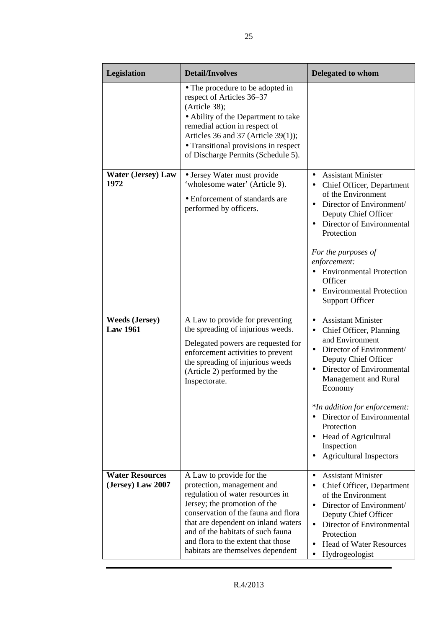| Legislation                                 | <b>Detail/Involves</b>                                                                                                                                                                                                                                                                                                   | <b>Delegated to whom</b>                                                                                                                                                                                                                                                                                                                                                                                   |
|---------------------------------------------|--------------------------------------------------------------------------------------------------------------------------------------------------------------------------------------------------------------------------------------------------------------------------------------------------------------------------|------------------------------------------------------------------------------------------------------------------------------------------------------------------------------------------------------------------------------------------------------------------------------------------------------------------------------------------------------------------------------------------------------------|
|                                             | • The procedure to be adopted in<br>respect of Articles 36-37<br>(Article 38);<br>• Ability of the Department to take<br>remedial action in respect of<br>Articles 36 and 37 (Article 39(1));<br>• Transitional provisions in respect<br>of Discharge Permits (Schedule 5).                                              |                                                                                                                                                                                                                                                                                                                                                                                                            |
| <b>Water (Jersey) Law</b><br>1972           | • Jersey Water must provide<br>'wholesome water' (Article 9).<br>• Enforcement of standards are<br>performed by officers.                                                                                                                                                                                                | <b>Assistant Minister</b><br>Chief Officer, Department<br>$\bullet$<br>of the Environment<br>Director of Environment/<br>Deputy Chief Officer<br>Director of Environmental<br>Protection<br>For the purposes of<br>enforcement:<br>• Environmental Protection<br>Officer<br><b>Environmental Protection</b><br><b>Support Officer</b>                                                                      |
| <b>Weeds (Jersey)</b><br><b>Law 1961</b>    | A Law to provide for preventing<br>the spreading of injurious weeds.<br>Delegated powers are requested for<br>enforcement activities to prevent<br>the spreading of injurious weeds<br>(Article 2) performed by the<br>Inspectorate.                                                                                     | <b>Assistant Minister</b><br>$\bullet$<br>Chief Officer, Planning<br>$\bullet$<br>and Environment<br>Director of Environment/<br>$\bullet$<br>Deputy Chief Officer<br>Director of Environmental<br>Management and Rural<br>Economy<br>*In addition for enforcement:<br>Director of Environmental<br>Protection<br><b>Head of Agricultural</b><br>$\bullet$<br>Inspection<br><b>Agricultural Inspectors</b> |
| <b>Water Resources</b><br>(Jersey) Law 2007 | A Law to provide for the<br>protection, management and<br>regulation of water resources in<br>Jersey; the promotion of the<br>conservation of the fauna and flora<br>that are dependent on inland waters<br>and of the habitats of such fauna<br>and flora to the extent that those<br>habitats are themselves dependent | <b>Assistant Minister</b><br>$\bullet$<br>Chief Officer, Department<br>٠<br>of the Environment<br>Director of Environment/<br>Deputy Chief Officer<br>Director of Environmental<br>$\bullet$<br>Protection<br><b>Head of Water Resources</b><br>$\bullet$<br>Hydrogeologist                                                                                                                                |